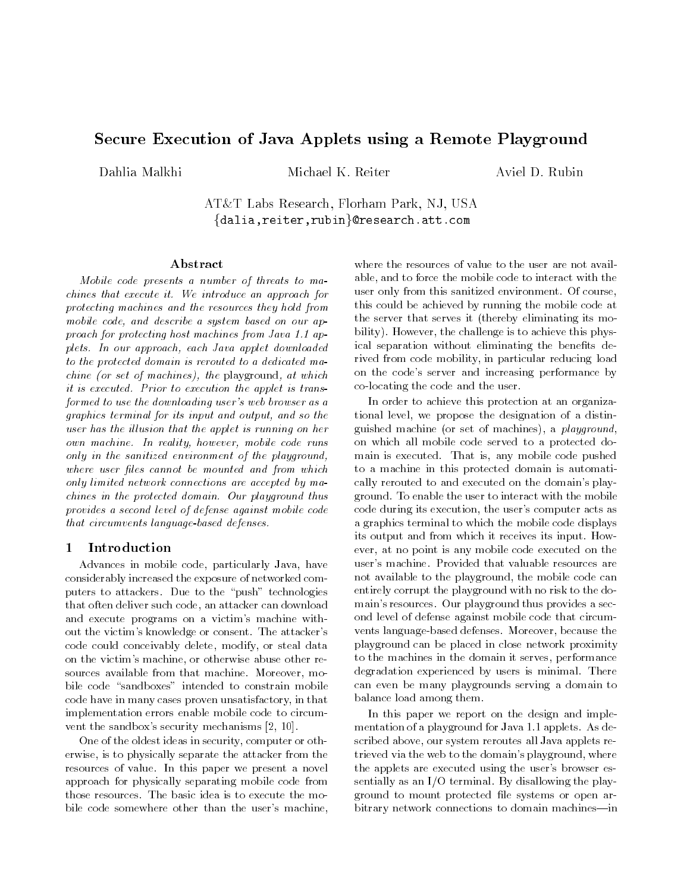# Secure Execution of Java Applets using a Remote Playground

Dahlia Malkhi

Michael K. Reiter

Aviel D. Rubin

AT&T Labs Research, Florham Park, NJ, USA  $\{$ dalia, reiter, rubin $\}$ @research.att.com

Mobile code presents a number of threats to machines that execute it. We introduce an approach forprotecting machines and the resources they hold frommobile code, and describe a system based on our approach for protecting host machines from Java 1.1 applets. In our approach, each Java applet downloadedto the protected domain is rerouted to a dedicated machine (or set of machines), the playground, at which it is executed. Prior to execution the applet is transformed to use the downloading user's web browser as agraphics terminal for its input and output, and so theuser has the illusion that the applet is running on her own machine. In reality, however, mobile code runsonly in the sanitized environment of the playground,where user files cannot be mounted and from which only limited network connections are accepted by machines in the protected domain. Our playground thusprovides a second level of defense against mobile codethat circumvents language-based defenses.

#### Introduction  $\mathbf{1}$

Advances in mobile code, particularly Java, have considerably increased the exposure of networked computers to attackers. Due to the "push" technologies that often deliver such code, an attacker can download and execute programs on a victim's machine without the victim's knowledge or consent. The attacker's code could conceivably delete, modify, or steal data on the victim's machine, or otherwise abuse other resources available from that machine. Moreover, mobile code "sandboxes" intended to constrain mobile code have in many cases proven unsatisfactory, in that implementation errors enable mobile code to circumvent the sandbox's security mechanisms [2, 10].

One of the oldest ideas in security, computer or otherwise, is to physically separate the attacker from the resources of value. In this paper we present a novel approach for physically separating mobile code from those resources. The basic idea is to execute the mobile code somewhere other than the user's machine, where the resources of value to the user are not available, and to force the mobile code to interact with the user only from this sanitized environment. Of course, this could be achieved by running the mobile code at the server that serves it (thereby eliminating its mobility). However, the challenge is to achieve this physical separation without eliminating the benefits derived from code mobility, in particular reducing load on the code's server and increasing performance by co-locating the code and the user.

In order to achieve this protection at an organizational level, we propose the designation of a distinguished machine (or set of machines), a playground, on which all mobile code served to a protected domain is executed. That is, any mobile code pushed to a machine in this protected domain is automatically rerouted to and executed on the domain's playground. To enable the user to interact with the mobile code during its execution, the user's computer acts as a graphics terminal to which the mobile code displays its output and from which it receives its input. However, at no point is any mobile code executed on the user's machine. Provided that valuable resources are not available to the playground, the mobile code can entirely corrupt the playground with no risk to the domain's resources. Our playground thus provides a second level of defense against mobile code that circumvents language-based defenses. Moreover, because the playground can be placed in close network proximity to the machines in the domain it serves, performance degradation experienced by users is minimal. There can even be many playgrounds serving a domain to balance load among them.

In this paper we report on the design and imple mentation of a playground for Java 1.1 applets. As described above, our system reroutes all Java applets retrieved via the web to the domain's playground, where the applets are executed using the user's browser essentially as an I/O terminal. By disallowing the playground to mount protected file systems or open arbitrary network connections to domain machines—in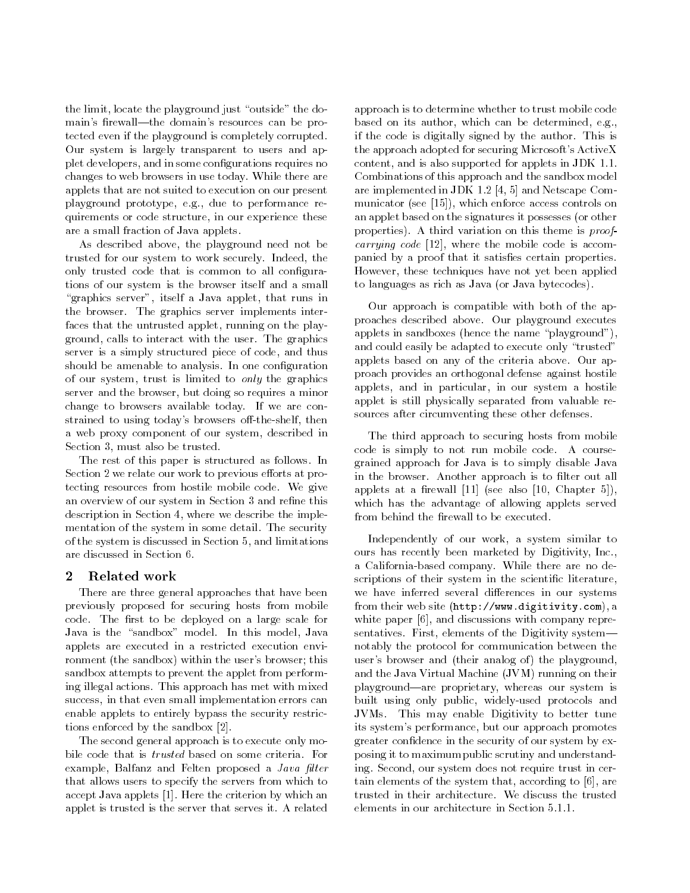the limit, locate the playground just "outside" the domain's firewall-the domain's resources can be protected even if the playground is completely corrupted. Our system is largely transparent to users and applet developers, and in some congurations requires no changes to web browsers in use today. While there are applets that are not suited to execution on our present playground prototype, e.g., due to performance requirements or code structure, in our experience these are a small fraction of Java applets.

As described above, the playground need not be trusted for our system to work securely. Indeed, the only trusted code that is common to all configurations of our system is the browser itself and a small "graphics server", itself a Java applet, that runs in the browser. The graphics server implements interfaces that the untrusted applet, running on the playground, calls to interact with the user. The graphics server is a simply structured piece of code, and thus should be amenable to analysis. In one configuration of our system, trust is limited to only the graphics server and the browser, but doing so requires a minor change to browsers available today. If we are constrained to using today's browsers off-the-shelf, then a web proxy component of our system, described in Section 3, must also be trusted.

The rest of this paper is structured as follows. In Section 2 we relate our work to previous efforts at protecting resources from hostile mobile code. We give an overview of our system in Section 3 and refine this description in Section 4, where we describe the imple mentation of the system in some detail. The security of the system is discussed in Section 5, and limitations are discussed in Section 6.

# 2 Related work

There are three general approaches that have been previously proposed for securing hosts from mobile code. The first to be deployed on a large scale for Java is the "sandbox" model. In this model, Java applets are executed in a restricted execution environment (the sandbox) within the user's browser; this sandbox attempts to prevent the applet from performing illegal actions. This approach has met with mixed success, in that even small implementation errors can enable applets to entirely bypass the security restrictions enforced by the sandbox [2].

The second general approach is to execute only mobile code that is trusted based on some criteria. For example, Balfanz and Felten proposed a Java filter that allows users to specify the servers from which to accept Java applets [1]. Here the criterion by which an applet is trusted is the server that serves it. A related approach is to determine whether to trust mobile code based on its author, which can be determined, e.g., if the code is digitally signed by the author. This is the approach adopted for securing Microsoft's ActiveX content, and is also supported for applets in JDK 1.1. Combinations of this approach and the sandbox model are implemented in JDK 1.2 [4, 5] and Netscape Com municator (see [15]), which enforce access controls on an applet based on the signatures it possesses (or other properties). A third variation on this theme is proofcarrying code [12], where the mobile code is accompanied by a proof that it satisfies certain properties. However, these techniques have not yet been applied to languages as rich as Java (or Java bytecodes).

Our approach is compatible with both of the approaches described above. Our playground executes applets in sandboxes (hence the name "playground"), and could easily be adapted to execute only "trusted" applets based on any of the criteria above. Our approach provides an orthogonal defense against hostile applets, and in particular, in our system a hostile applet is still physically separated from valuable resources after circumventing these other defenses.

The third approach to securing hosts from mobile code is simply to not run mobile code. A coursegrained approach for Java is to simply disable Java in the browser. Another approach is to filter out all applets at a firewall  $[11]$  (see also  $[10, Chapter 5]$ ), which has the advantage of allowing applets served from behind the firewall to be executed.

Independently of our work, a system similar to ours has recently been marketed by Digitivity, Inc., a California-based company. While there are no descriptions of their system in the scientific literature, we have inferred several differences in our systems from their web site (http://www.digitivity.com), a white paper [6], and discussions with company representatives. First, elements of the Digitivity systemnotably the protocol for communication between the user's browser and (their analog of) the playground. and the Java Virtual Machine (JVM) running on their playground—are proprietary, whereas our system is built using only public, widely-used protocols and JVMs. This may enable Digitivity to better tune its system's performance, but our approach promotes greater condence in the security of our system by exposing it to maximum public scrutiny and understanding. Second, our system does not require trust in certain elements of the system that, according to [6], are trusted in their architecture. We discuss the trusted elements in our architecture in Section 5.1.1.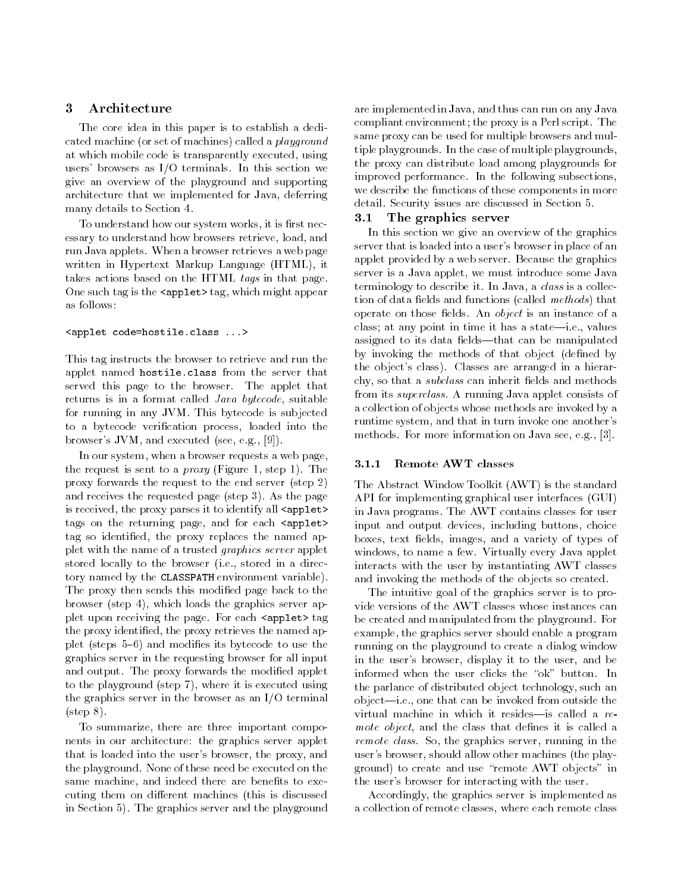# 3 Architecture

The core idea in this paper is to establish a dedicated machine (or set of machines) called a playground at which mobile code is transparently executed, using users' browsers as I/O terminals. In this section we give an overview of the playground and supporting architecture that we implemented for Java, deferring many details to Section 4.

To understand how our system works, it is first necessary to understand how browsers retrieve, load, and run Java applets. When a browser retrieves a web page written in Hypertext Markup Language (HTML), it takes actions based on the HTML tags in that page. One such tag is the <applet> tag, which might appear as follows:

#### <applet code=hostile.class ...>

This tag instructs the browser to retrieve and run the applet named hostile.class from the server that served this page to the browser. The applet that returns is in a format called Java bytecode, suitable for running in any JVM. This bytecode is subjected to a bytecode verification process, loaded into the browser's JVM, and executed (see, e.g., [9]).

In our system, when a browser requests a web page, the request is sent to a *proxy* (Figure 1, step 1). The proxy forwards the request to the end server (step 2) and receives the requested page (step 3). As the page is received, the proxy parses it to identify all  $\langle \text{applet} \rangle$ tags on the returning page, and for each  $\langle \text{applet} \rangle$ tag so identified, the proxy replaces the named applet with the name of a trusted graphics server applet stored locally to the browser (i.e., stored in a directory named by the CLASSPATH environment variable). The proxy then sends this modified page back to the browser (step 4), which loads the graphics server applet upon receiving the page. For each <applet> tag the proxy identied, the proxy retrieves the named applet (steps  $5-6$ ) and modifies its bytecode to use the graphics server in the requesting browser for all input and output. The proxy forwards the modied applet to the playground (step 7), where it is executed using the graphics server in the browser as an I/O terminal (step 8).

To summarize, there are three important components in our architecture: the graphics server applet that is loaded into the user's browser, the proxy, and the playground. None of these need be executed on the same machine, and indeed there are benefits to executing them on different machines (this is discussed in Section 5). The graphics server and the playground are implemented in Java, and thus can run on any Java compliant environment; the proxy is a Perl script. The same proxy can be used for multiple browsers and multiple playgrounds. In the case of multiple playgrounds, the proxy can distribute load among playgrounds for improved performance. In the following subsections, we describe the functions of these components in more detail. Security issues are discussed in Section 5.

### 3.1 The graphics server

In this section we give an overview of the graphics server that is loaded into a user's browser in place of an applet provided byaweb server. Because the graphics server is a Java applet, we must introduce some Java terminology to describe it. In Java, a *class* is a collection of data fields and functions (called methods) that operate on those fields. An *object* is an instance of a class; at any point in time it has a state—i.e., values assigned to its data fields-that can be manipulated by invoking the methods of that object (defined by the object's class). Classes are arranged in a hierarchy, so that a *subclass* can inherit fields and methods from its superclass. A running Java applet consists of a collection of objects whose methods are invoked by a runtime system, and that in turn invoke one another's methods. For more information on Java see, e.g., [3].

#### 3.1.1 Remote AWT classes

The Abstract Window Toolkit (AWT) is the standard API for implementing graphical user interfaces (GUI) in Java programs. The AWT contains classes for user input and output devices, including buttons, choice boxes, text fields, images, and a variety of types of windows, to name a few. Virtually every Java applet interacts with the user by instantiating AWT classes and invoking the methods of the objects so created.

The intuitive goal of the graphics server is to provide versions of the AWT classes whose instances can be created and manipulated from the playground. For example, the graphics server should enable a program running on the playground to create a dialog window in the user's browser, display it to the user, and be informed when the user clicks the "ok" button. In the parlance of distributed object technology, such an object|i.e., one that can be invoked from outside the virtual machine in which it resides-is called a  $re$ mote object, and the class that defines it is called a remote class. So, the graphics server, running in the user's browser, should allow other machines (the playground) to create and use \remote AWT objects" in the user's browser for interacting with the user.

Accordingly, the graphics server is implemented as a collection of remote classes, where each remote class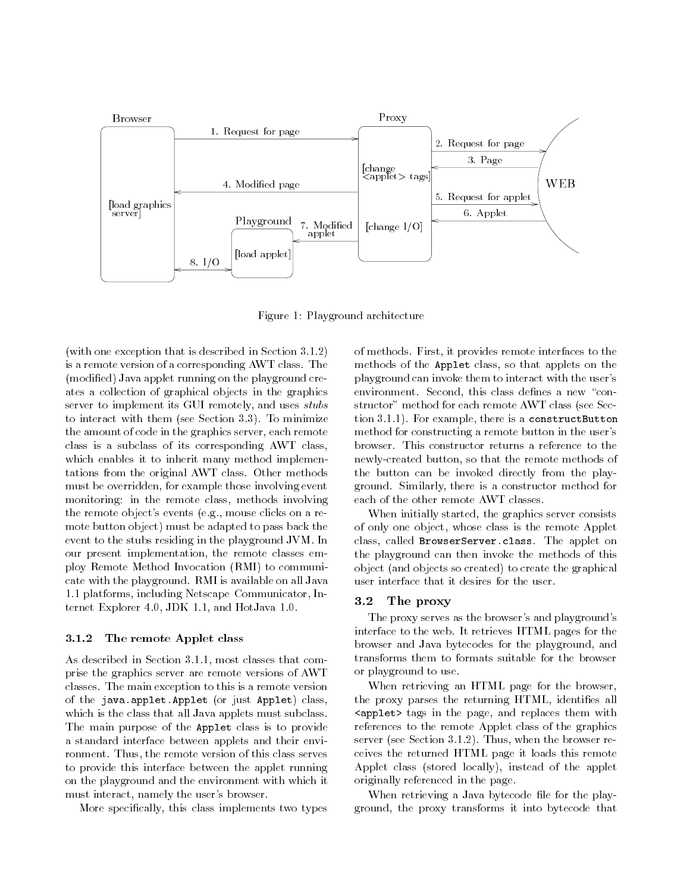

Figure 1: Playground architecture

(with one exception that is described in Section 3.1.2) is a remote version of a corresponding AWT class. The (modied) Java applet running on the playground creates a collection of graphical objects in the graphics server to implement its GUI remotely, and uses stubs to interact with them (see Section 3.3). To minimize the amount of code in the graphics server, each remote class is a subclass of its corresponding AWT class, which enables it to inherit many method implementations from the original AWT class. Other methods must be overridden, for example those involving event monitoring: in the remote class, methods involving the remote object's events (e.g., mouse clicks on a remote button object) must be adapted to pass back the event to the stubs residing in the playground JVM. In our present implementation, the remote classes employ Remote Method Invocation (RMI) to communicate with the playground. RMI is available on all Java 1.1 platforms, including Netscape Communicator, Internet Explorer 4.0, JDK 1.1, and HotJava 1.0.

### 3.1.2 The remote Applet class

As described in Section 3.1.1, most classes that comprise the graphics server are remote versions of AWT classes. The main exception to this is a remote version of the java.applet.Applet (or just Applet) class, which is the class that all Java applets must subclass. The main purpose of the Applet class is to provide a standard interface between applets and their environment. Thus, the remote version of this class serves to provide this interface between the applet running on the playground and the environment with which it must interact, namely the user's browser.

More specically, this class implements two types

of methods. First, it provides remote interfaces to the methods of the Applet class, so that applets on the playground can invoke them to interact with the user's environment. Second, this class defines a new "constructor" method for each remote AWT class (see Section 3.1.1). For example, there is a constructButton method for constructing a remote button in the user's browser. This constructor returns a reference to the newly-created button, so that the remote methods of the button can be invoked directly from the playground. Similarly, there is a constructor method for each of the other remote AWT classes.

When initially started, the graphics server consists of only one object, whose class is the remote Applet class, called BrowserServer.class. The applet on the playground can then invoke the methods of this object (and objects so created) to create the graphical user interface that it desires for the user.

### 3.2 The proxy

The proxy serves as the browser's and playground's interface to the web. It retrieves HTML pages for the browser and Java bytecodes for the playground, and transforms them to formats suitable for the browser or playground to use.

When retrieving an HTML page for the browser, the proxy parses the returning HTML, identifies all <applet> tags in the page, and replaces them with references to the remote Applet class of the graphics server (see Section 3.1.2). Thus, when the browser receives the returned HTML page it loads this remote Applet class (stored locally), instead of the applet originally referenced in the page.

When retrieving a Java bytecode file for the playground, the proxy transforms it into bytecode that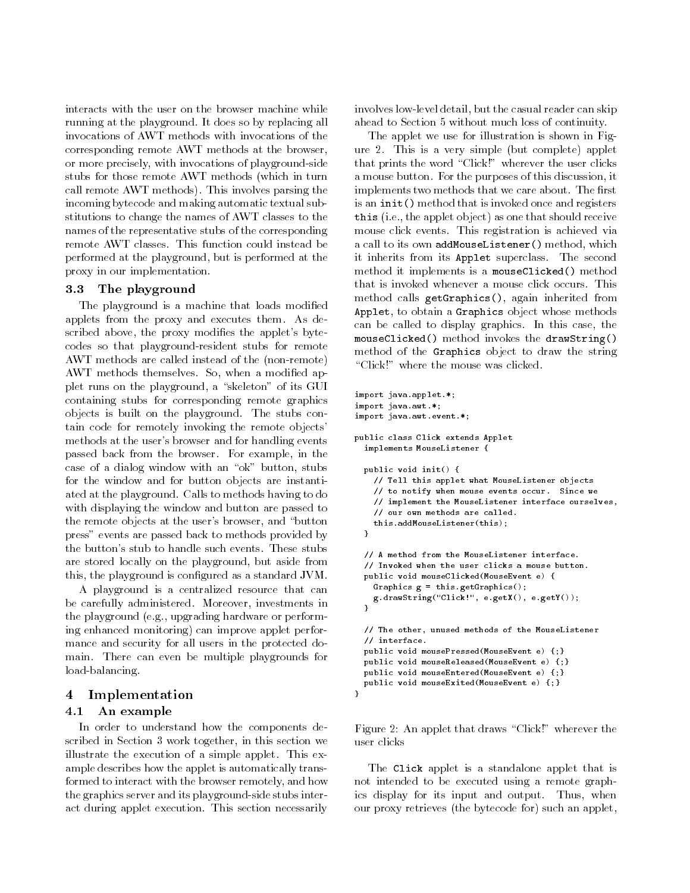interacts with the user on the browser machine while running at the playground. It does so by replacing all invocations of AWT methods with invocations of the corresponding remote AWT methods at the browser, or more precisely, with invocations of playground-side stubs for those remote AWT methods (which in turn call remote AWT methods). This involves parsing the incoming bytecode and making automatic textual substitutions to change the names of AWT classes to the names of the representative stubs of the corresponding remote AWT classes. This function could instead be performed at the playground, but is performed at the proxy in our implementation.

## 3.3 The playground

The playground is a machine that loads modified applets from the proxy and executes them. As described above, the proxy modifies the applet's bytecodes so that playground-resident stubs for remote AWT methods are called instead of the (non-remote) AWT methods themselves. So, when a modified applet runs on the playground, a "skeleton" of its GUI containing stubs for corresponding remote graphics objects is built on the playground. The stubs contain code for remotely invoking the remote objects' methods at the user's browser and for handling events passed back from the browser. For example, in the case of a dialog window with an " $\circ$ k" button, stubs for the window and for button objects are instantiated at the playground. Calls to methods having to do with displaying the window and button are passed to the remote objects at the user's browser, and "button press" events are passed back to methods provided by the button's stub to handle such events. These stubs are stored locally on the playground, but aside from this, the playground is configured as a standard JVM.

A playground is a centralized resource that can be carefully administered. Moreover, investments in the playground (e.g., upgrading hardware or performing enhanced monitoring) can improve applet performance and security for all users in the protected domain. There can even be multiple playgrounds for load-balancing.

# 4 Implementation

# 4.1 An example

In order to understand how the components described in Section 3 work together, in this section we illustrate the execution of a simple applet. This example describes how the applet is automatically transformed to interact with the browser remotely, and how the graphics server and its playground-side stubs interact during applet execution. This section necessarily involves low-level detail, but the casual reader can skip ahead to Section 5 without much loss of continuity.

The applet we use for illustration is shown in Figure 2. This is a very simple (but complete) applet that prints the word \Click!" wherever the user clicks a mouse button. For the purposes of this discussion, it implements two methods that we care about. The first is an init() method that is invoked once and registers this (i.e., the applet object) as one that should receive mouse click events. This registration is achieved via a call to its own addMouseListener() method, which it inherits from its Applet superclass. The second method it implements is a mouseClicked() method that is invoked whenever a mouse click occurs. This method calls getGraphics(), again inherited from Applet, to obtain a Graphics object whose methods can be called to display graphics. In this case, the mouseClicked() method invokes the drawString() method of the Graphics object to draw the string "Click!" where the mouse was clicked.

```
import java.applet.*;
import java.awt.*;
import java.awt.event.*;
public class Click extends Applet
  implements MouseListener {
  public void init() \{public void in the void \sim// Tell this applet what MouseListener objects
    // to notify when mouse events occur. Since we
    // implement the MouseListener interface ourselves,
    // our own methods are called.
    this.addMouseListener(this);
  \mathbf{r}\sim \sim// A method from the MouseListener interface.
  // Invoked when the user clicks a mouse button.
  public void mouseClicked(MouseEvent e) {
    Graphics g = \text{this.getGraphics}();
   g.drawString("Click!", e.getX(), e.getY());
  \mathbf{r}}
  // The other, unused methods of the MouseListener
  // interface.
  // interface.
  public void mousePressed(MouseEvent e) {;}
  public void mouseReleased(MouseEvent e) {;}
 public void mouseEntered(MouseEvent e) {;}
 public void mouseExited(MouseEvent e) {;}
}
```
Figure 2: An applet that draws \Click!" wherever the user clicks

The Click applet is a standalone applet that is not intended to be executed using a remote graphics display for its input and output. Thus, when our proxy retrieves (the bytecode for) such an applet,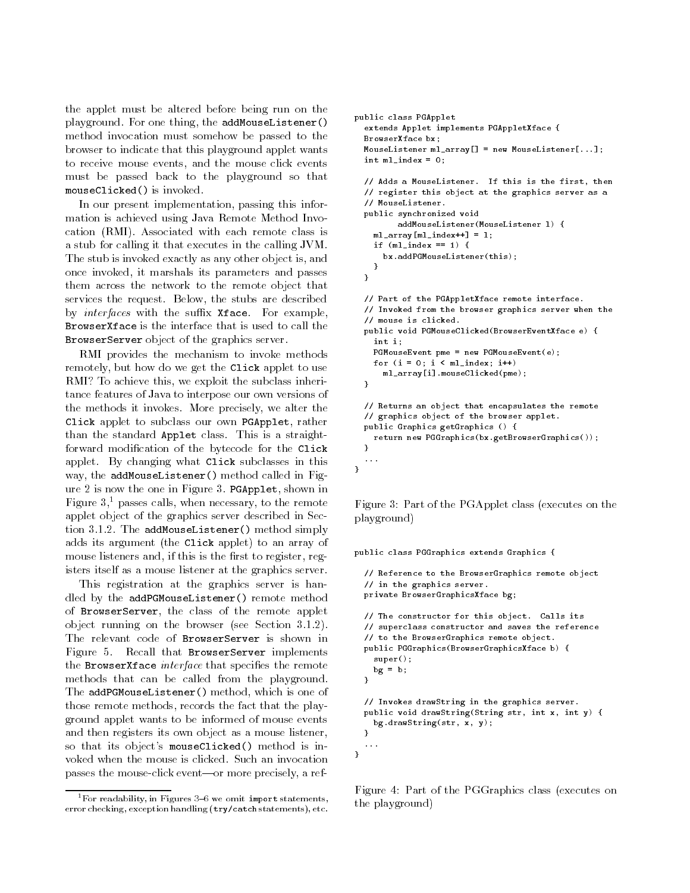the applet must be altered before being run on the playground. For one thing, the addMouseListener() method invocation must somehow be passed to the browser to indicate that this playground applet wants to receive mouse events, and the mouse click events must be passed back to the playground so that mouseClicked() is invoked.

In our present implementation, passing this information is achieved using Java Remote Method Invocation (RMI). Associated with each remote class is a stub for calling it that executes in the calling JVM. The stub is invoked exactly as any other object is, and once invoked, it marshals its parameters and passes them across the network to the remote object that services the request. Below, the stubs are described by *interfaces* with the suffix Xface. For example, BrowserXface is the interface that is used to call the BrowserServer object of the graphics server.

RMI provides the mechanism to invoke methods remotely, but how do we get the Click applet to use RMI? To achieve this, we exploit the subclass inheritance features of Java to interpose our own versions of the methods it invokes. More precisely, we alter the Click applet to subclass our own PGApplet, rather than the standard Applet class. This is a straightforward modification of the bytecode for the Click applet. By changing what Click subclasses in this way, the addMouseListener() method called in Figure 2 is now the one in Figure 3. PGApplet, shown in Figure  $3<sup>1</sup>$  passes calls, when necessary, to the remote applet object of the graphics server described in Section 3.1.2. The addMouseListener() method simply adds its argument (the Click applet) to an array of mouse listeners and, if this is the first to register, registers itself as a mouse listener at the graphics server.

This registration at the graphics server is handled by the addPGMouseListener() remote method of BrowserServer, the class of the remote applet object running on the browser (see Section 3.1.2). The relevant code of BrowserServer is shown in Figure 5. Recall that BrowserServer implements the BrowserXface *interface* that specifies the remote methods that can be called from the playground. The addPGMouseListener() method, which is one of those remote methods, records the fact that the playground applet wants to be informed of mouse events and then registers its own object as a mouse listener, so that its object's mouseClicked() method is invoked when the mouse is clicked. Such an invocation passes the mouse-click event—or more precisely, a ref-

```
public class PGApplet
  extends Applet implements PGAppletXface {
  BrowserXface bx;
  MouseListener ml_array[] = new MouseListener[...];
  int ml_index = 0;
  // Adds a MouseListener. If this is the first, then
  // register this object at the graphics server as a
  // MouseListener.
  public synchronized void
         addMouseListener(MouseListener l) {
    ml_array[ml_index++] = l;
    if (ml_index == 1) {
      bx.addPGMouseListener(this);
    }
  \mathcal{F}}
  // Part of the PGAppletXface remote interface.
  // Invoked from the browser graphics server when the
  // mouse is clicked.
  public void PGMouseClicked(BrowserEventXface e) {
    int i;
    PGMouseEvent pme = new PGMouseEvent(e);
    for (i = 0; i < m1 index; i++)ml_array[i].mouseClicked(pme);
  \mathbf{r}}
  // Returns an object that encapsulates the remote
  // graphics object of the browser applet.
  public Graphics getGraphics () {
   return new PGGraphics(bx.getBrowserGraphics());
  Ρ.
  }
\mathbf{v}}
```
Figure 3: Part of the PGApplet class (executes on the playground)

```
public class PGGraphics extends Graphics {
```

```
// Reference to the BrowserGraphics remote object
  // in the graphics server.
  private BrowserGraphicsXface bg;
  // The constructor for this object. Calls its
  // superclass constructor and saves the reference
  // to the BrowserGraphics remote object.
  public PGGraphics(BrowserGraphicsXface b) {
    super();
    bg = b;\mathbf{r}\sim \sim// Invokes drawString in the graphics server.
  public void drawString(String str, int x, int y) {
    bg.drawString(str, x, y);
  \sim \sim...
}
```
Figure 4: Part of the PGGraphics class (executes on the playground)

 $1$ For readability, in Figures 3-6 we omit import statements, error checking, exception handling (try/catch statements), etc.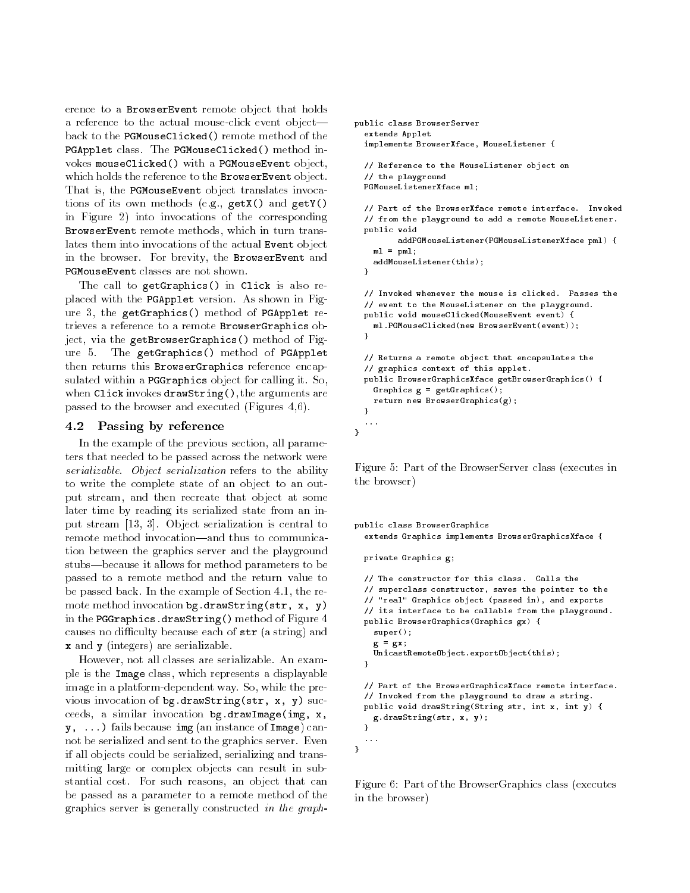erence to a BrowserEvent remote object that holds a reference to the actual mouse-click event objectback to the PGMouseClicked() remote method of the PGApplet class. The PGMouseClicked() method invokes mouseClicked() with a PGMouseEvent object, which holds the reference to the BrowserEvent object. That is, the PGMouseEvent object translates invocations of its own methods (e.g., getX() and getY() in Figure 2) into invocations of the corresponding BrowserEvent remote methods, which in turn translates them into invocations of the actual Event object in the browser. For brevity, the BrowserEvent and PGMouseEvent classes are not shown.

The call to getGraphics() in Click is also replaced with the PGApplet version. As shown in Figure 3, the getGraphics() method of PGApplet retrieves a reference to a remote BrowserGraphics object, via the getBrowserGraphics() method of Figure 5. The getGraphics() method of PGApplet then returns this BrowserGraphics reference encapsulated within a PGGraphics object for calling it. So, when Click invokes drawString(), the arguments are passed to the browser and executed (Figures 4,6).

# 4.2 Passing by reference

In the example of the previous section, all parameters that needed to be passed across the network were serializable. Object serialization refers to the ability to write the complete state of an object to an output stream, and then recreate that object at some later time by reading its serialized state from an input stream [13, 3]. Object serialization is central to remote method invocation—and thus to communication between the graphics server and the playground stubs-because it allows for method parameters to be passed to a remote method and the return value to be passed back. In the example of Section 4.1, the remote method invocation bg.drawString(str, x, y) in the PGGraphics.drawString() method of Figure 4 causes no difficulty because each of  $str$  (a string) and x and y (integers) are serializable.

However, not all classes are serializable. An example is the Image class, which represents a displayable image in a platform-dependent way. So, while the previous invocation of bg.drawString(str, x, y) succeeds, a similar invocation bg.drawImage(img, x, y, ...) fails because img (an instance of Image) cannot be serialized and sent to the graphics server. Even if all objects could be serialized, serializing and transmitting large or complex objects can result in substantial cost. For such reasons, an object that can be passed as a parameter to a remote method of the graphics server is generally constructed in the graph-

```
public class BrowserServer
  extends Applet
  extends Applet
  implements BrowserXface, MouseListener {
  // Reference to the MouseListener object on
  // the playground
  PGMouseListenerXface ml;
  // Part of the BrowserXface remote interface. Invoked
  // from the playground to add a remote MouseListener.
  public void
         addPGMouseListener(PGMouseListenerXface pml) {
    m1 = pm1:
    ml = pml;
    addMouseListener(this);
  \mathbf{a}}
  // Invoked whenever the mouse is clicked. Passes the
  // event to the MouseListener on the playground.
  public void mouseClicked(MouseEvent event) {
   ml.PGMouseClicked(new BrowserEvent(event));
  }
  // Returns a remote object that encapsulates the
  // graphics context of this applet.
  public BrowserGraphicsXface getBrowserGraphics() {
    Graphics g = getGraphics();
    return new BrowserGraphics(g);
  \mathbf{a}\sim \sim...
```
Figure 5: Part of the BrowserServer class (executes in the browser)

}

```
public class BrowserGraphics
public class BrowserGraphics BrowserGraphics
  extends Graphics implements BrowserGraphicsXface {
  private Graphics g:
  private Graphics g;
  // The constructor for this class. Calls the
  // superclass constructor, saves the pointer to the
  // "real" Graphics object (passed in), and exports
  // its interface to be callable from the playground.
  public BrowserGraphics(Graphics gx) {
    super();
    g = gx;UnicastRemoteObject.exportObject(this);
  \mathbf{r}}
  // Part of the BrowserGraphicsXface remote interface.
  // Invoked from the playground to draw a string.
  public void drawString(String str, int x, int y) {
    g.drawString(str, x, y);
  \mathbf{r}\sim \sim\mathbf{r}}
```
Figure 6: Part of the BrowserGraphics class (executes in the browser)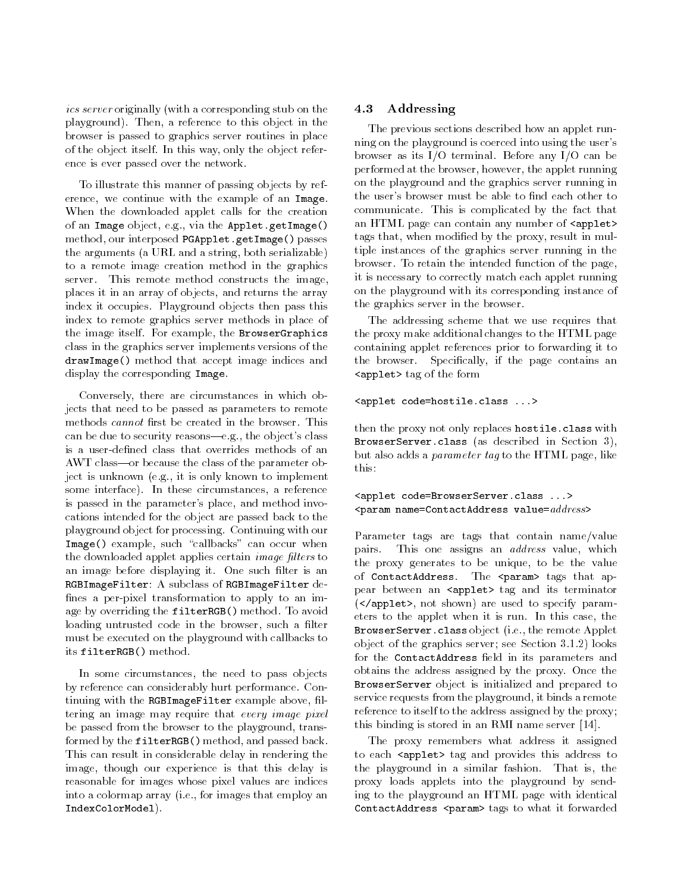ics server originally (with a corresponding stub on the playground). Then, a reference to this object in the browser is passed to graphics server routines in place of the object itself. In this way, only the object reference is ever passed over the network.

To illustrate this manner of passing objects by reference, we continue with the example of an Image. When the downloaded applet calls for the creation of an Image object, e.g., via the Applet.getImage() method, our interposed PGApplet.getImage() passes the arguments (a URL and a string, both serializable) to a remote image creation method in the graphics server. This remote method constructs the image, places it in an array of objects, and returns the array index it occupies. Playground objects then pass this index to remote graphics server methods in place of the image itself. For example, the BrowserGraphics class in the graphics server implements versions of the drawImage() method that accept image indices and display the corresponding Image.

Conversely, there are circumstances in which objects that need to be passed as parameters to remote methods *cannot* first be created in the browser. This can be due to security reasons—e.g., the object's class is a user-defined class that overrides methods of an AWT class—or because the class of the parameter object is unknown (e.g., it is only known to implement some interface). In these circumstances, a reference is passed in the parameter's place, and method invocations intended for the object are passed back to the playground object for processing. Continuing with our Image() example, such "callbacks" can occur when the downloaded applet applies certain image filters to an image before displaying it. One such filter is an RGBImageFilter: A subclass of RGBImageFilter de fines a per-pixel transformation to apply to an image by overriding the filterRGB() method. To avoid loading untrusted code in the browser, such a filter must be executed on the playground with callbacks to its filterRGB() method.

In some circumstances, the need to pass objects by reference can considerably hurt performance. Continuing with the RGBImageFilter example above, filtering an image may require that every image pixel be passed from the browser to the playground, transformed by the filterRGB() method, and passed back. This can result in considerable delay in rendering the image, though our experience is that this delay is reasonable for images whose pixel values are indices into a colormap array (i.e., for images that employ an IndexColorModel).

## 4.3 Addressing

The previous sections described how an applet running on the playground is coerced into using the user's browser as its I/O terminal. Before any I/O can be performed at the browser, however, the applet running on the playground and the graphics server running in the user's browser must be able to find each other to communicate. This is complicated by the fact that an HTML page can contain any number of <applet> tags that, when modied by the proxy, result in multiple instances of the graphics server running in the browser. To retain the intended function of the page, it is necessary to correctly match each applet running on the playground with its corresponding instance of the graphics server in the browser.

The addressing scheme that we use requires that the proxy make additional changes to the HTML page containing applet references prior to forwarding it to the browser. Specically, if the page contains an <applet> tag of the form

#### <applet code=hostile.class ...>

then the proxy not only replaces hostile.class with BrowserServer.class (as described in Section 3), but also adds a parameter tag to the HTML page, like this:

### <applet code=BrowserServer.class ...>  $\epsilon$ param name=ContactAddress value= $address>$

Parameter tags are tags that contain name/value pairs. This one assigns an address value, which the proxy generates to be unique, to be the value of ContactAddress. The <param> tags that appear between an <applet> tag and its terminator  $\left\langle \langle \rangle \right\rangle$  ( $\left\langle \rangle$  applet), not shown) are used to specify parameters to the applet when it is run. In this case, the BrowserServer.class object (i.e., the remote Applet object of the graphics server; see Section 3.1.2) looks for the ContactAddress field in its parameters and obtains the address assigned by the proxy. Once the BrowserServer object is initialized and prepared to service requests from the playground, it binds a remote reference to itself to the address assigned by the proxy; this binding is stored in an RMI name server [14].

The proxy remembers what address it assigned to each <applet> tag and provides this address to the playground in a similar fashion. That is, the proxy loads applets into the playground by sending to the playground an HTML page with identical ContactAddress <param> tags to what it forwarded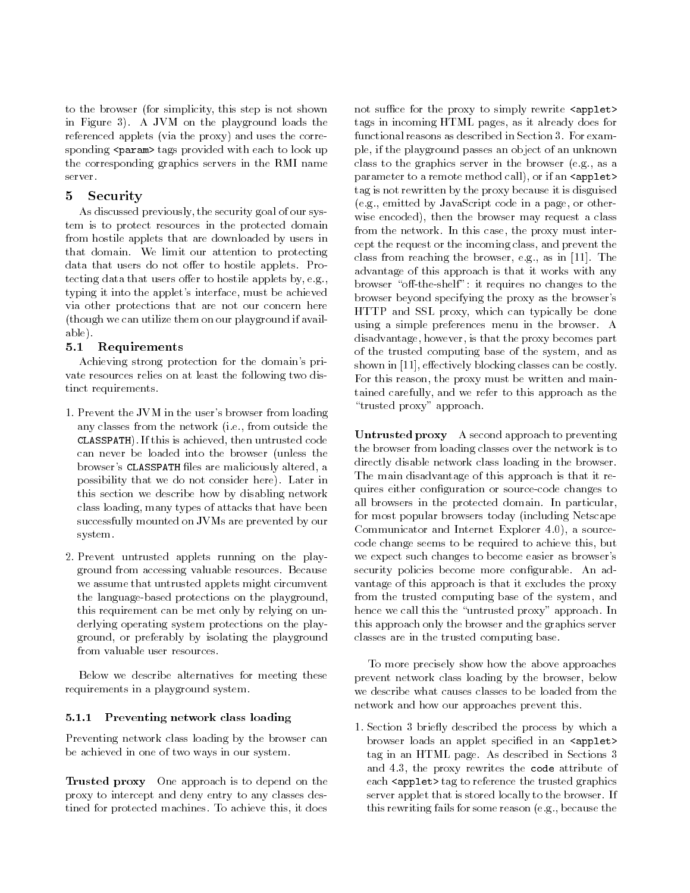to the browser (for simplicity, this step is not shown in Figure 3). A JVM on the playground loads the referenced applets (via the proxy) and uses the corresponding <param> tags provided with each to look up the corresponding graphics servers in the RMI name server.

#### $\mathbf{5}$ **Security**

As discussed previously, the security goal of our system is to protect resources in the protected domain from hostile applets that are downloaded by users in that domain. We limit our attention to protecting data that users do not offer to hostile applets. Protecting data that users offer to hostile applets by, e.g., typing it into the applet's interface, must be achieved via other protections that are not our concern here (though we can utilize them on our playground if available).

# 5.1 Requirements

Achieving strong protection for the domain's private resources relies on at least the following two distinct requirements.

- 1. Prevent the JVM in the user's browser from loading any classes from the network (i.e., from outside the CLASSPATH). If this is achieved, then untrusted code can never be loaded into the browser (unless the browser's CLASSPATH files are maliciously altered, a possibility that we do not consider here). Later in this section we describe how by disabling network class loading, many types of attacks that have been successfully mounted on JVMs are prevented by our system.
- 2. Prevent untrusted applets running on the playground from accessing valuable resources. Because we assume that untrusted applets might circumvent the language-based protections on the playground, this requirement can be met only by relying on underlying operating system protections on the playground, or preferably by isolating the playground from valuable user resources.

Below we describe alternatives for meeting these requirements in a playground system.

#### $5.1.1$ Preventing network class loading

Preventing network class loading by the browser can be achieved in one of two ways in our system.

Trusted proxy One approach is to depend on the proxy to intercept and deny entry to any classes destined for protected machines. To achieve this, it does not suffice for the proxy to simply rewrite  $\langle \text{applet} \rangle$ tags in incoming HTML pages, as it already does for functional reasons as described in Section 3. For example, if the playground passes an object of an unknown class to the graphics server in the browser (e.g., as a parameter to a remote method call), or if an  $\langle \text{applet} \rangle$ tag is not rewritten by the proxy because it is disguised (e.g., emitted by JavaScript code in a page, or otherwise encoded), then the browser may request a class from the network. In this case, the proxy must intercept the request or the incoming class, and prevent the class from reaching the browser, e.g., as in [11]. The advantage of this approach is that it works with any browser "off-the-shelf": it requires no changes to the browser beyond specifying the proxy as the browser's HTTP and SSL proxy, which can typically be done using a simple preferences menu in the browser. A disadvantage, however, is that the proxy becomes part of the trusted computing base of the system, and as shown in  $[11]$ , effectively blocking classes can be costly. For this reason, the proxy must be written and maintained carefully, and we refer to this approach as the "trusted proxy" approach.

Untrusted proxy A second approach to preventing the browser from loading classes over the network is to directly disable network class loading in the browser. The main disadvantage of this approach is that it requires either conguration or source-code changes to all browsers in the protected domain. In particular, for most popular browsers today (including Netscape Communicator and Internet Explorer 4.0), a sourcecode change seems to be required to achieve this, but we expect such changes to become easier as browser's security policies become more configurable. An advantage of this approach is that it excludes the proxy from the trusted computing base of the system, and hence we call this the "untrusted proxy" approach. In this approach only the browser and the graphics server classes are in the trusted computing base.

To more precisely show how the above approaches prevent network class loading by the browser, below we describe what causes classes to be loaded from the network and how our approaches prevent this.

1. Section 3 briefly described the process by which a browser loads an applet specified in an  $\langle \text{applet} \rangle$ tag in an HTML page. As described in Sections 3 and 4.3, the proxy rewrites the code attribute of each <applet> tag to reference the trusted graphics server applet that is stored locally to the browser. If this rewriting fails for some reason (e.g., because the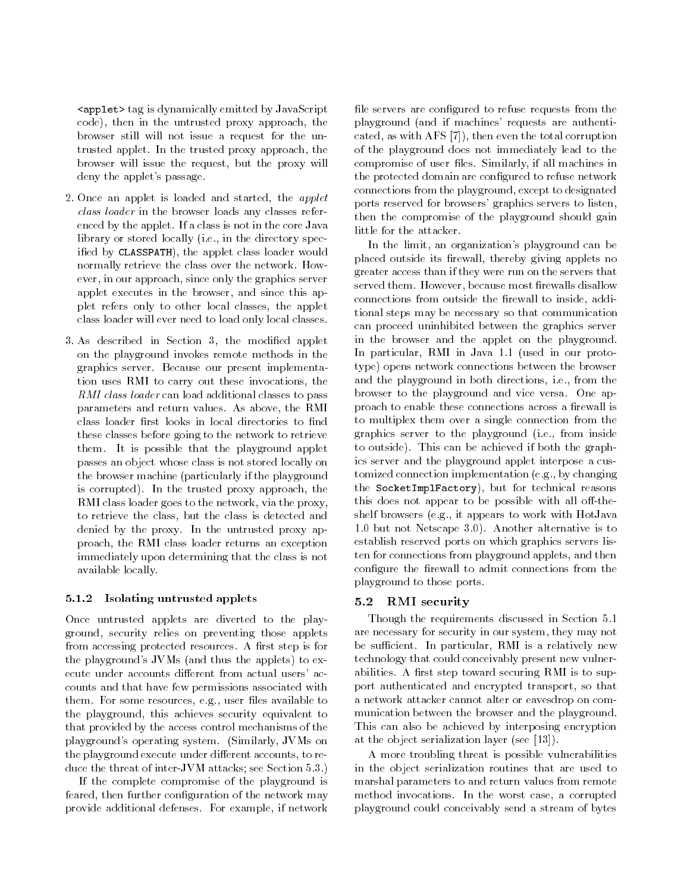<applet> tag is dynamically emitted by JavaScript code), then in the untrusted proxy approach, the browser still will not issue a request for the untrusted applet. In the trusted proxy approach, the browser will issue the request, but the proxy will deny the applet's passage.

- 2. Once an applet is loaded and started, the applet class loader in the browser loads any classes referenced by the applet. If a class is not in the core Java library or stored locally (i.e., in the directory specified by CLASSPATH), the applet class loader would normally retrieve the class over the network. However, in our approach, since only the graphics server applet executes in the browser, and since this applet refers only to other local classes, the applet class loader will ever need to load only local classes.
- 3. As described in Section 3, the modied applet on the playground invokes remote methods in the graphics server. Because our present implementation uses RMI to carry out these invocations, the RMI class loader can load additional classes to pass parameters and return values. As above, the RMI class loader first looks in local directories to find these classes before going to the network to retrieve them. It is possible that the playground applet passes an object whose class is not stored locally on the browser machine (particularly if the playground is corrupted). In the trusted proxy approach, the RMI class loader goes to the network, via the proxy, to retrieve the class, but the class is detected and denied by the proxy. In the untrusted proxy approach, the RMI class loader returns an exception immediately upon determining that the class is not available locally.

#### 5.1.2 5.1.2 Isolating untrusted applets

Once untrusted applets are diverted to the playground, security relies on preventing those applets from accessing protected resources. A first step is for the playground's JVMs (and thus the applets) to execute under accounts different from actual users' accounts and that have few permissions associated with them. For some resources, e.g., user files available to the playground, this achieves security equivalent to that provided by the access control mechanisms of the playground's operating system. (Similarly, JVMs on the playground execute under different accounts, to reduce the threat of inter-JVM attacks; see Section 5.3.)

If the complete compromise of the playground is feared, then further configuration of the network may provide additional defenses. For example, if network file servers are configured to refuse requests from the playground (and if machines' requests are authenticated, as with AFS [7]), then even the total corruption of the playground does not immediately lead to the compromise of user files. Similarly, if all machines in the protected domain are configured to refuse network connections from the playground, except to designated ports reserved for browsers' graphics servers to listen, then the compromise of the playground should gain little for the attacker.

In the limit, an organization's playground can be placed outside its firewall, thereby giving applets no greater access than if they were run on the servers that served them. However, because most firewalls disallow connections from outside the firewall to inside, additional steps may be necessary so that communication can proceed uninhibited between the graphics server in the browser and the applet on the playground. In particular, RMI in Java 1.1 (used in our prototype) opens network connections between the browser and the playground in both directions, i.e., from the browser to the playground and vice versa. One approach to enable these connections across a firewall is to multiplex them over a single connection from the graphics server to the playground (i.e., from inside to outside). This can be achieved if both the graphics server and the playground applet interpose a customized connection implementation (e.g., by changing the SocketImplFactory), but for technical reasons this does not appear to be possible with all off-theshelf browsers (e.g., it appears to work with HotJava 1.0 but not Netscape 3.0). Another alternative is to establish reserved ports on which graphics servers listen for connections from playground applets, and then configure the firewall to admit connections from the playground to those ports.

## 5.2 RMI security

Though the requirements discussed in Section 5.1 are necessary for security in our system, they may not be sufficient. In particular, RMI is a relatively new technology that could conceivably present new vulnerabilities. A first step toward securing RMI is to support authenticated and encrypted transport, so that a network attacker cannot alter or eavesdrop on com munication between the browser and the playground. This can also be achieved by interposing encryption at the object serialization layer (see [13]).

A more troubling threat is possible vulnerabilities in the object serialization routines that are used to marshal parameters to and return values from remote method invocations. In the worst case, a corrupted playground could conceivably send a stream of bytes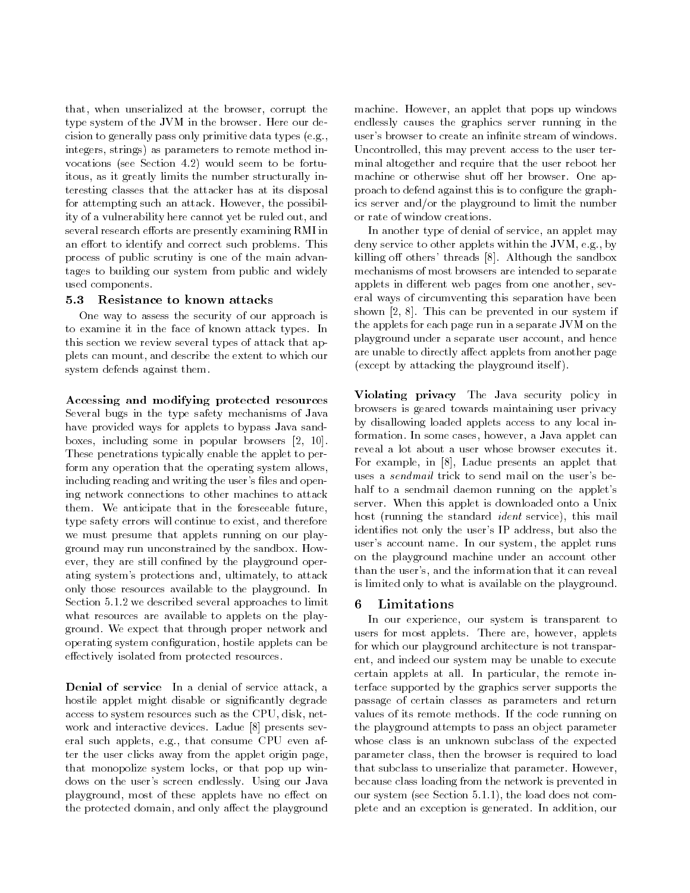that, when unserialized at the browser, corrupt the type system of the JVM in the browser. Here our decision to generally pass only primitive data types (e.g., integers, strings) as parameters to remote method invocations (see Section 4.2) would seem to be fortuitous, as it greatly limits the number structurally interesting classes that the attacker has at its disposal for attempting such an attack. However, the possibility of a vulnerability here cannot yet be ruled out, and several research efforts are presently examining RMI in an effort to identify and correct such problems. This process of public scrutiny is one of the main advantages to building our system from public and widely used components.

#### $5.3$ **Resistance to known attacks**

One way to assess the security of our approach is to examine it in the face of known attack types. In this section we review several types of attack that applets can mount, and describe the extent to which our system defends against them.

Accessing and modifying protected resources Several bugs in the type safety mechanisms of Java have provided ways for applets to bypass Java sandboxes, including some in popular browsers [2, 10]. These penetrations typically enable the applet to perform any operation that the operating system allows, including reading and writing the user's files and opening network connections to other machines to attack them. We anticipate that in the foreseeable future, type safety errors will continue to exist, and therefore we must presume that applets running on our playground may run unconstrained by the sandbox. However, they are still confined by the playground operating system's protections and, ultimately, to attack only those resources available to the playground. In Section 5.1.2 we described several approaches to limit what resources are available to applets on the playground. We expect that through proper network and operating system conguration, hostile applets can be effectively isolated from protected resources.

Denial of service In a denial of service attack, a hostile applet might disable or signicantly degrade access to system resources such as the CPU, disk, net work and interactive devices. Ladue [8] presents several such applets, e.g., that consume CPU even after the user clicks away from the applet origin page, that monopolize system locks, or that pop up windows on the user's screen endlessly. Using our Java playground, most of these applets have no effect on the protected domain, and only affect the playground machine. However, an applet that pops up windows endlessly causes the graphics server running in the user's browser to create an infinite stream of windows. Uncontrolled, this may prevent access to the user terminal altogether and require that the user reboot her machine or otherwise shut off her browser. One approach to defend against this is to congure the graphics server and/or the playground to limit the number or rate of window creations.

In another type of denial of service, an applet may deny service to other applets within the JVM, e.g., by killing off others' threads  $[8]$ . Although the sandbox mechanisms of most browsers are intended to separate applets in different web pages from one another, several ways of circumventing this separation have been shown [2, 8]. This can be prevented in our system if the applets for each page run in a separate JVM on the playground under a separate user account, and hence are unable to directly affect applets from another page (except by attacking the playground itself ).

Violating privacy The Java security policy in browsers is geared towards maintaining user privacy by disallowing loaded applets access to any local information. In some cases, however, a Java applet can reveal a lot about a user whose browser executes it. For example, in [8], Ladue presents an applet that uses a sendmail trick to send mail on the user's behalf to a sendmail daemon running on the applet's server. When this applet is downloaded onto a Unix host (running the standard *ident* service), this mail identifies not only the user's IP address, but also the user's account name. In our system, the applet runs on the playground machine under an account other than the user's, and the information that it can reveal is limited only to what is available on the playground.

#### **Limitations** В.

In our experience, our system is transparent to users for most applets. There are, however, applets for which our playground architecture is not transparent, and indeed our system may be unable to execute certain applets at all. In particular, the remote interface supported by the graphics server supports the passage of certain classes as parameters and return values of its remote methods. If the code running on the playground attempts to pass an object parameter whose class is an unknown subclass of the expected parameter class, then the browser is required to load that subclass to unserialize that parameter. However, because class loading from the network is prevented in our system (see Section 5.1.1), the load does not complete and an exception is generated. In addition, our